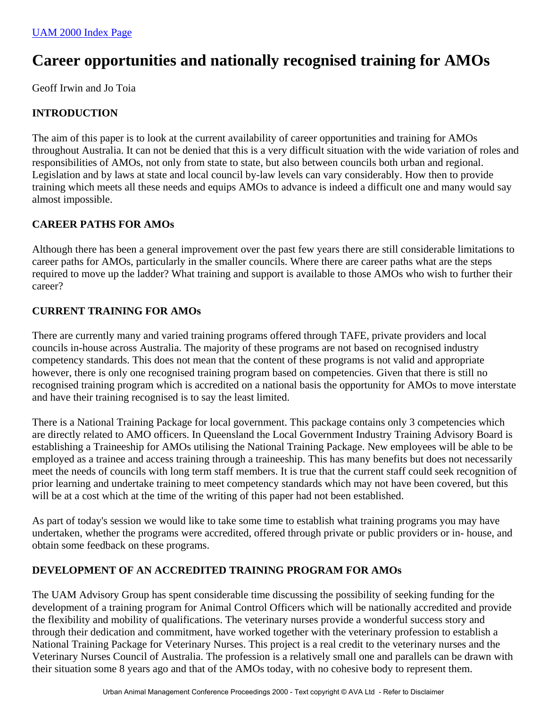# **Career opportunities and nationally recognised training for AMOs**

Geoff Irwin and Jo Toia

## **INTRODUCTION**

The aim of this paper is to look at the current availability of career opportunities and training for AMOs throughout Australia. It can not be denied that this is a very difficult situation with the wide variation of roles and responsibilities of AMOs, not only from state to state, but also between councils both urban and regional. Legislation and by laws at state and local council by-law levels can vary considerably. How then to provide training which meets all these needs and equips AMOs to advance is indeed a difficult one and many would say almost impossible.

## **CAREER PATHS FOR AMOs**

Although there has been a general improvement over the past few years there are still considerable limitations to career paths for AMOs, particularly in the smaller councils. Where there are career paths what are the steps required to move up the ladder? What training and support is available to those AMOs who wish to further their career?

#### **CURRENT TRAINING FOR AMOs**

There are currently many and varied training programs offered through TAFE, private providers and local councils in-house across Australia. The majority of these programs are not based on recognised industry competency standards. This does not mean that the content of these programs is not valid and appropriate however, there is only one recognised training program based on competencies. Given that there is still no recognised training program which is accredited on a national basis the opportunity for AMOs to move interstate and have their training recognised is to say the least limited.

There is a National Training Package for local government. This package contains only 3 competencies which are directly related to AMO officers. In Queensland the Local Government Industry Training Advisory Board is establishing a Traineeship for AMOs utilising the National Training Package. New employees will be able to be employed as a trainee and access training through a traineeship. This has many benefits but does not necessarily meet the needs of councils with long term staff members. It is true that the current staff could seek recognition of prior learning and undertake training to meet competency standards which may not have been covered, but this will be at a cost which at the time of the writing of this paper had not been established.

As part of today's session we would like to take some time to establish what training programs you may have undertaken, whether the programs were accredited, offered through private or public providers or in- house, and obtain some feedback on these programs.

## **DEVELOPMENT OF AN ACCREDITED TRAINING PROGRAM FOR AMOs**

The UAM Advisory Group has spent considerable time discussing the possibility of seeking funding for the development of a training program for Animal Control Officers which will be nationally accredited and provide the flexibility and mobility of qualifications. The veterinary nurses provide a wonderful success story and through their dedication and commitment, have worked together with the veterinary profession to establish a National Training Package for Veterinary Nurses. This project is a real credit to the veterinary nurses and the Veterinary Nurses Council of Australia. The profession is a relatively small one and parallels can be drawn with their situation some 8 years ago and that of the AMOs today, with no cohesive body to represent them.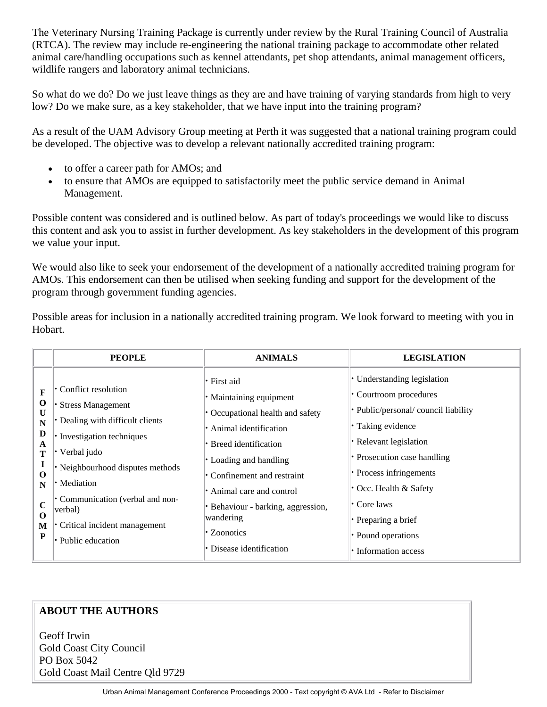The Veterinary Nursing Training Package is currently under review by the Rural Training Council of Australia (RTCA). The review may include re-engineering the national training package to accommodate other related animal care/handling occupations such as kennel attendants, pet shop attendants, animal management officers, wildlife rangers and laboratory animal technicians.

So what do we do? Do we just leave things as they are and have training of varying standards from high to very low? Do we make sure, as a key stakeholder, that we have input into the training program?

As a result of the UAM Advisory Group meeting at Perth it was suggested that a national training program could be developed. The objective was to develop a relevant nationally accredited training program:

- to offer a career path for AMOs; and
- to ensure that AMOs are equipped to satisfactorily meet the public service demand in Animal Management.

Possible content was considered and is outlined below. As part of today's proceedings we would like to discuss this content and ask you to assist in further development. As key stakeholders in the development of this program we value your input.

We would also like to seek your endorsement of the development of a nationally accredited training program for AMOs. This endorsement can then be utilised when seeking funding and support for the development of the program through government funding agencies.

Possible areas for inclusion in a nationally accredited training program. We look forward to meeting with you in Hobart.

|                                                                                                                   | <b>PEOPLE</b>                                                                                                                                                                                                                                                                            | <b>ANIMALS</b>                                                                                                                                                                                                                                                                                              | <b>LEGISLATION</b>                                                                                                                                                                                                                                                                                                         |
|-------------------------------------------------------------------------------------------------------------------|------------------------------------------------------------------------------------------------------------------------------------------------------------------------------------------------------------------------------------------------------------------------------------------|-------------------------------------------------------------------------------------------------------------------------------------------------------------------------------------------------------------------------------------------------------------------------------------------------------------|----------------------------------------------------------------------------------------------------------------------------------------------------------------------------------------------------------------------------------------------------------------------------------------------------------------------------|
| $\mathbf F$<br>$\mathbf 0$<br>U<br>N<br>D<br>A<br>T<br>I<br>$\bf{O}$<br>N<br>$\mathbf C$<br>$\mathbf 0$<br>M<br>P | Conflict resolution<br><b>Stress Management</b><br>• Dealing with difficult clients<br>• Investigation techniques<br>Verbal judo<br>• Neighbourhood disputes methods<br>• Mediation<br>Communication (verbal and non-<br>verbal)<br>• Critical incident management<br>• Public education | • First aid<br>• Maintaining equipment<br>• Occupational health and safety<br>· Animal identification<br>• Breed identification<br>• Loading and handling<br>Confinement and restraint<br>Animal care and control<br>Behaviour - barking, aggression,<br>wandering<br>• Zoonotics<br>Disease identification | • Understanding legislation<br>• Courtroom procedures<br>• Public/personal/ council liability<br>• Taking evidence<br>• Relevant legislation<br>• Prosecution case handling<br>• Process infringements<br>• Occ. Health & Safety<br>$\cdot$ Core laws<br>• Preparing a brief<br>• Pound operations<br>• Information access |

## **ABOUT THE AUTHORS**

Geoff Irwin Gold Coast City Council PO Box 5042 Gold Coast Mail Centre Qld 9729